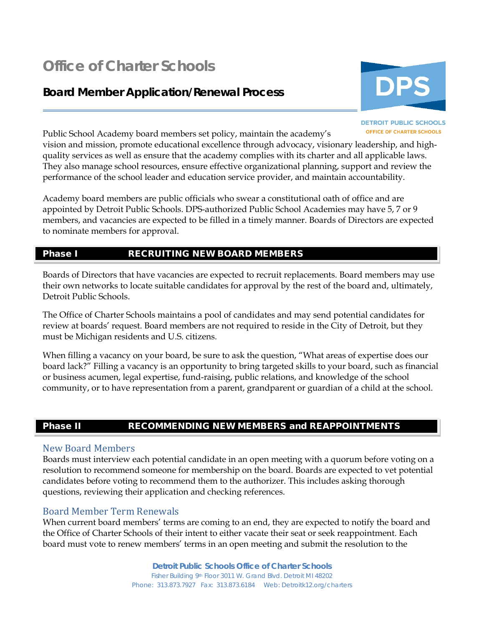# **Office of Charter Schools**

## **Board Member Application/Renewal Process**



#### **DETROIT PUBLIC SCHOOLS OFFICE OF CHARTER SCHOOLS**

Public School Academy board members set policy, maintain the academy's

vision and mission, promote educational excellence through advocacy, visionary leadership, and highquality services as well as ensure that the academy complies with its charter and all applicable laws. They also manage school resources, ensure effective organizational planning, support and review the performance of the school leader and education service provider, and maintain accountability.

Academy board members are public officials who swear a constitutional oath of office and are appointed by Detroit Public Schools. DPS-authorized Public School Academies may have 5, 7 or 9 members, and vacancies are expected to be filled in a timely manner. Boards of Directors are expected to nominate members for approval.

#### Phase I RECRUITING NEW BOARD MEMBERS

Boards of Directors that have vacancies are expected to recruit replacements. Board members may use their own networks to locate suitable candidates for approval by the rest of the board and, ultimately, Detroit Public Schools.

The Office of Charter Schools maintains a pool of candidates and may send potential candidates for review at boards' request. Board members are not required to reside in the City of Detroit, but they must be Michigan residents and U.S. citizens.

When filling a vacancy on your board, be sure to ask the question, "What areas of expertise does our board lack?" Filling a vacancy is an opportunity to bring targeted skills to your board, such as financial or business acumen, legal expertise, fund-raising, public relations, and knowledge of the school community, or to have representation from a parent, grandparent or guardian of a child at the school.

#### Phase II RECOMMENDING NEW MEMBERS and REAPPOINTMENTS

#### New Board Members

Boards must interview each potential candidate in an open meeting with a quorum before voting on a resolution to recommend someone for membership on the board. Boards are expected to vet potential candidates before voting to recommend them to the authorizer. This includes asking thorough questions, reviewing their application and checking references.

#### Board Member Term Renewals

When current board members' terms are coming to an end, they are expected to notify the board and the Office of Charter Schools of their intent to either vacate their seat or seek reappointment. Each board must vote to renew members' terms in an open meeting and submit the resolution to the

> **Detroit Public Schools Office of Charter Schools** Fisher Building 9th Floor 3011 W. Grand Blvd. Detroit MI 48202 Phone: 313.873.7927 Fax: 313.873.6184 Web: Detroitk12.org/charters